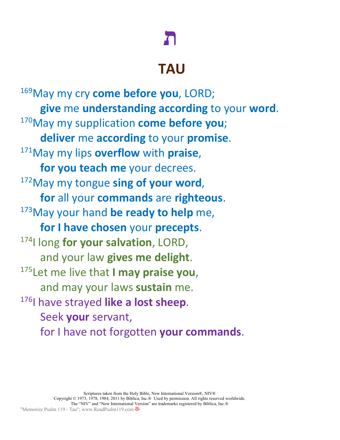## **ת**

### **TAU**

169May my cry **come before you**, LORD; **give** me **understanding according** to your **word**. 170May my supplication **come before you**; **deliver** me **according** to your **promise**. 171May my lips **overflow** with **praise**, **for you teach me** your decrees. 172May my tongue **sing of your word**, **for** all your **commands** are **righteous**.<br><sup>173</sup>May your hand **be ready to help** me, **for I have chosen** your **precepts**. 174I long **for your salvation**, LORD, and your law **gives me delight**. 175Let me live that **I may praise you**, and may your laws **sustain** me. 176| have strayed like a lost sheep. Seek **your** servant, for I have not forgotten **your commands**.